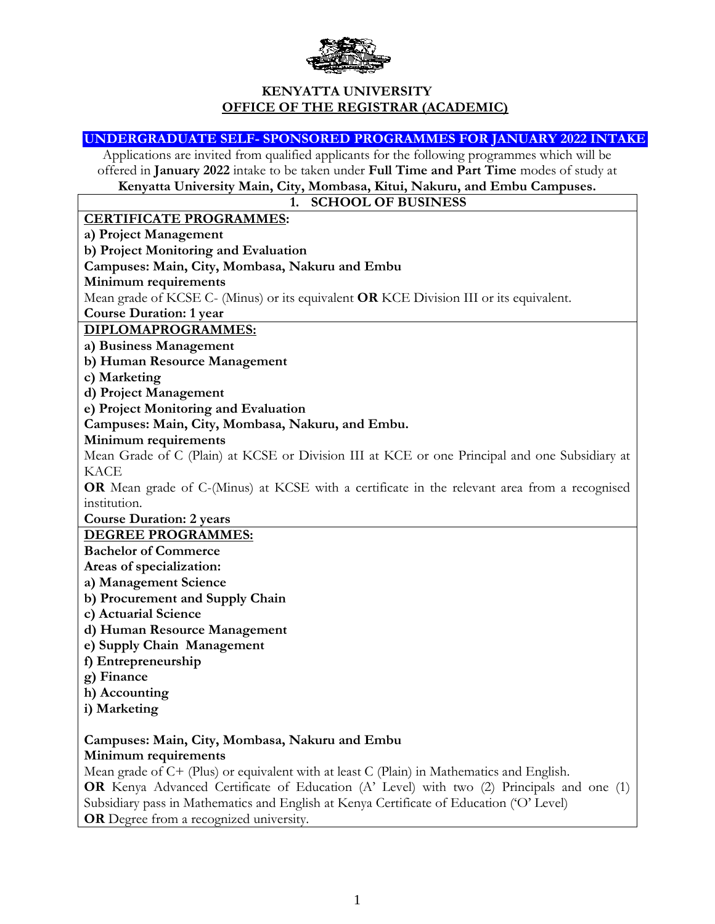

### **KENYATTA UNIVERSITY OFFICE OF THE REGISTRAR (ACADEMIC)**

**UNDERGRADUATE SELF- SPONSORED PROGRAMMES FOR JANUARY 2022 INTAKE** Applications are invited from qualified applicants for the following programmes which will be offered in **January 2022** intake to be taken under **Full Time and Part Time** modes of study at **Kenyatta University Main, City, Mombasa, Kitui, Nakuru, and Embu Campuses. 1. SCHOOL OF BUSINESS CERTIFICATE PROGRAMMES: a) Project Management b) Project Monitoring and Evaluation Campuses: Main, City, Mombasa, Nakuru and Embu Minimum requirements** Mean grade of KCSE C- (Minus) or its equivalent **OR** KCE Division III or its equivalent. **Course Duration: 1 year DIPLOMAPROGRAMMES: a) Business Management b) Human Resource Management c) Marketing d) Project Management e) Project Monitoring and Evaluation Campuses: Main, City, Mombasa, Nakuru, and Embu. Minimum requirements** Mean Grade of C (Plain) at KCSE or Division III at KCE or one Principal and one Subsidiary at KACE **OR** Mean grade of C-(Minus) at KCSE with a certificate in the relevant area from a recognised institution. **Course Duration: 2 years DEGREE PROGRAMMES: Bachelor of Commerce Areas of specialization: a) Management Science b) Procurement and Supply Chain c) Actuarial Science d) Human Resource Management e) Supply Chain Management f) Entrepreneurship g) Finance h) Accounting i) Marketing Campuses: Main, City, Mombasa, Nakuru and Embu Minimum requirements** Mean grade of C+ (Plus) or equivalent with at least C (Plain) in Mathematics and English.

**OR** Kenya Advanced Certificate of Education (A' Level) with two (2) Principals and one (1) Subsidiary pass in Mathematics and English at Kenya Certificate of Education ('O' Level) **OR** Degree from a recognized university.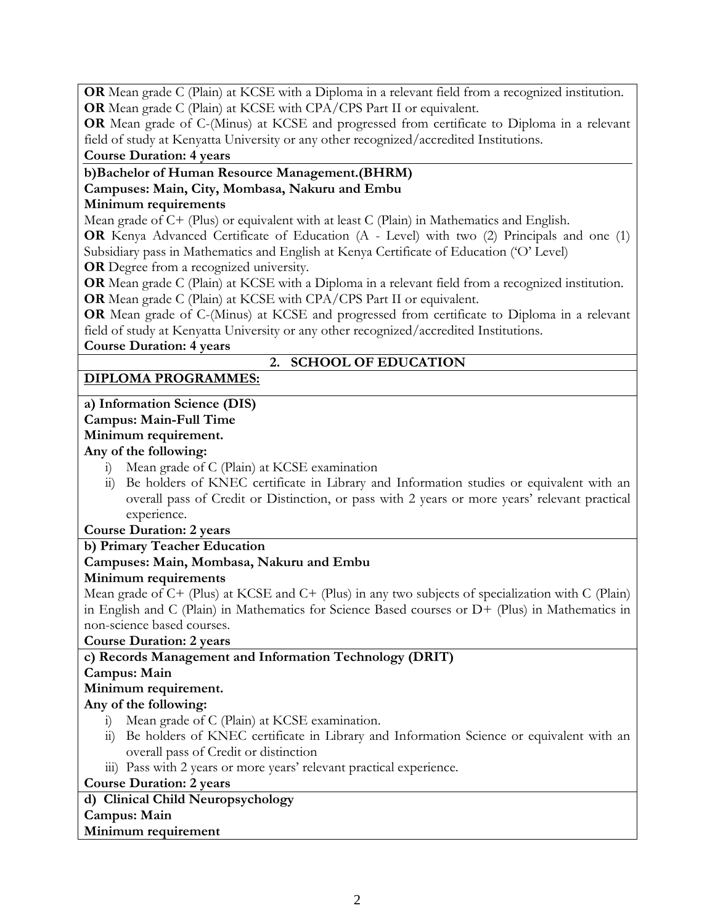**OR** Mean grade C (Plain) at KCSE with a Diploma in a relevant field from a recognized institution. **OR** Mean grade C (Plain) at KCSE with CPA/CPS Part II or equivalent.

**OR** Mean grade of C-(Minus) at KCSE and progressed from certificate to Diploma in a relevant field of study at Kenyatta University or any other recognized/accredited Institutions. **Course Duration: 4 years**

### **b)Bachelor of Human Resource Management.(BHRM) Campuses: Main, City, Mombasa, Nakuru and Embu Minimum requirements**

### Mean grade of C+ (Plus) or equivalent with at least C (Plain) in Mathematics and English.

**OR** Kenya Advanced Certificate of Education (A - Level) with two (2) Principals and one (1) Subsidiary pass in Mathematics and English at Kenya Certificate of Education ('O' Level)

**OR** Degree from a recognized university.

**OR** Mean grade C (Plain) at KCSE with a Diploma in a relevant field from a recognized institution. **OR** Mean grade C (Plain) at KCSE with CPA/CPS Part II or equivalent.

**OR** Mean grade of C-(Minus) at KCSE and progressed from certificate to Diploma in a relevant field of study at Kenyatta University or any other recognized/accredited Institutions.

**Course Duration: 4 years**

# **2. SCHOOL OF EDUCATION**

# **DIPLOMA PROGRAMMES:**

# **a) Information Science (DIS)**

# **Campus: Main-Full Time**

# **Minimum requirement.**

# **Any of the following:**

- i) Mean grade of C (Plain) at KCSE examination
- ii) Be holders of KNEC certificate in Library and Information studies or equivalent with an overall pass of Credit or Distinction, or pass with 2 years or more years' relevant practical experience.

# **Course Duration: 2 years**

# **b) Primary Teacher Education**

# **Campuses: Main, Mombasa, Nakuru and Embu**

# **Minimum requirements**

Mean grade of C+ (Plus) at KCSE and C+ (Plus) in any two subjects of specialization with C (Plain) in English and C (Plain) in Mathematics for Science Based courses or D+ (Plus) in Mathematics in non-science based courses.

# **Course Duration: 2 years**

# **c) Records Management and Information Technology (DRIT)**

# **Campus: Main**

# **Minimum requirement.**

# **Any of the following:**

- i) Mean grade of C (Plain) at KCSE examination.
- ii) Be holders of KNEC certificate in Library and Information Science or equivalent with an overall pass of Credit or distinction

iii) Pass with 2 years or more years' relevant practical experience.

# **Course Duration: 2 years**

#### **d) Clinical Child Neuropsychology Campus: Main**

# **Minimum requirement**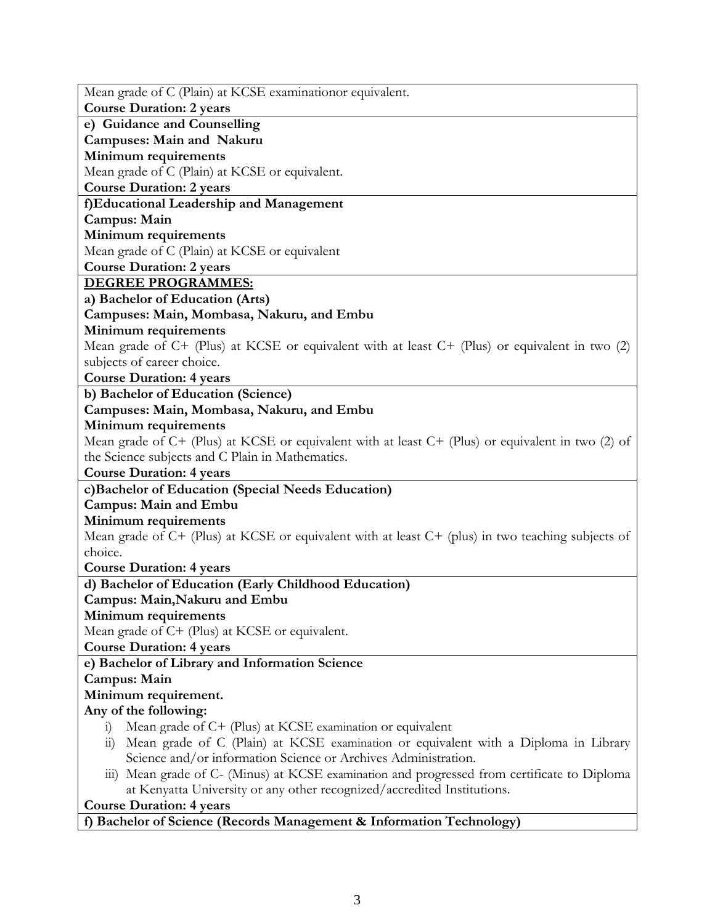| Mean grade of C (Plain) at KCSE examinationor equivalent.                                               |  |  |
|---------------------------------------------------------------------------------------------------------|--|--|
| <b>Course Duration: 2 years</b>                                                                         |  |  |
| e) Guidance and Counselling                                                                             |  |  |
| Campuses: Main and Nakuru                                                                               |  |  |
| Minimum requirements                                                                                    |  |  |
| Mean grade of C (Plain) at KCSE or equivalent.                                                          |  |  |
| <b>Course Duration: 2 years</b>                                                                         |  |  |
| f)Educational Leadership and Management                                                                 |  |  |
| Campus: Main                                                                                            |  |  |
| Minimum requirements                                                                                    |  |  |
| Mean grade of C (Plain) at KCSE or equivalent                                                           |  |  |
| <b>Course Duration: 2 years</b>                                                                         |  |  |
| <b>DEGREE PROGRAMMES:</b>                                                                               |  |  |
| a) Bachelor of Education (Arts)                                                                         |  |  |
| Campuses: Main, Mombasa, Nakuru, and Embu                                                               |  |  |
| Minimum requirements                                                                                    |  |  |
| Mean grade of C+ (Plus) at KCSE or equivalent with at least C+ (Plus) or equivalent in two (2)          |  |  |
| subjects of career choice.                                                                              |  |  |
| <b>Course Duration: 4 years</b>                                                                         |  |  |
| b) Bachelor of Education (Science)                                                                      |  |  |
| Campuses: Main, Mombasa, Nakuru, and Embu                                                               |  |  |
| Minimum requirements                                                                                    |  |  |
| Mean grade of $C$ + (Plus) at KCSE or equivalent with at least $C$ + (Plus) or equivalent in two (2) of |  |  |
| the Science subjects and C Plain in Mathematics.                                                        |  |  |
| <b>Course Duration: 4 years</b>                                                                         |  |  |
| c)Bachelor of Education (Special Needs Education)                                                       |  |  |
| <b>Campus: Main and Embu</b>                                                                            |  |  |
| Minimum requirements                                                                                    |  |  |
| Mean grade of $C+$ (Plus) at KCSE or equivalent with at least $C+$ (plus) in two teaching subjects of   |  |  |
| choice.                                                                                                 |  |  |
| <b>Course Duration: 4 years</b>                                                                         |  |  |
| d) Bachelor of Education (Early Childhood Education)                                                    |  |  |
| Campus: Main, Nakuru and Embu                                                                           |  |  |
| Minimum requirements                                                                                    |  |  |
| Mean grade of C+ (Plus) at KCSE or equivalent.                                                          |  |  |
| <b>Course Duration: 4 years</b>                                                                         |  |  |
| e) Bachelor of Library and Information Science                                                          |  |  |
| Campus: Main                                                                                            |  |  |
| Minimum requirement.                                                                                    |  |  |
| Any of the following:                                                                                   |  |  |
| Mean grade of C+ (Plus) at KCSE examination or equivalent<br>1)                                         |  |  |
| Mean grade of C (Plain) at KCSE examination or equivalent with a Diploma in Library<br>$\overline{11}$  |  |  |
| Science and/or information Science or Archives Administration.                                          |  |  |
| iii) Mean grade of C- (Minus) at KCSE examination and progressed from certificate to Diploma            |  |  |
| at Kenyatta University or any other recognized/accredited Institutions.                                 |  |  |
| <b>Course Duration: 4 years</b>                                                                         |  |  |
| f) Bachelor of Science (Records Management & Information Technology)                                    |  |  |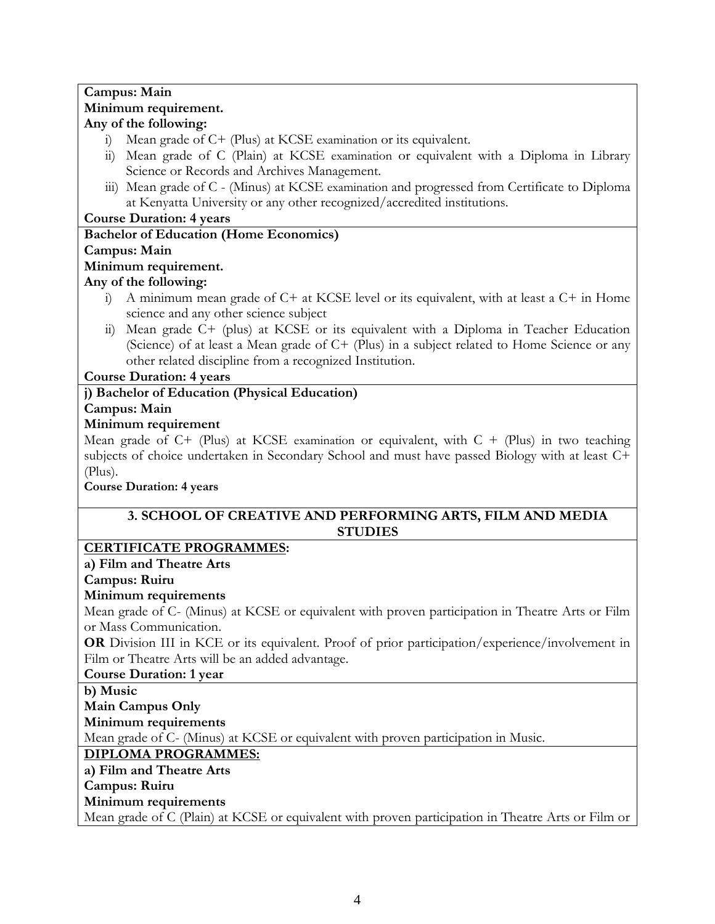#### **Campus: Main Minimum requirement. Any of the following:**

- i) Mean grade of C+ (Plus) at KCSE examination or its equivalent.
- ii) Mean grade of C (Plain) at KCSE examination or equivalent with a Diploma in Library Science or Records and Archives Management.
- iii) Mean grade of C (Minus) at KCSE examination and progressed from Certificate to Diploma at Kenyatta University or any other recognized/accredited institutions.

**Course Duration: 4 years**

### **Bachelor of Education (Home Economics)**

#### **Campus: Main**

### **Minimum requirement.**

### **Any of the following:**

- i) A minimum mean grade of C+ at KCSE level or its equivalent, with at least a C+ in Home science and any other science subject
- ii) Mean grade C+ (plus) at KCSE or its equivalent with a Diploma in Teacher Education (Science) of at least a Mean grade of C+ (Plus) in a subject related to Home Science or any other related discipline from a recognized Institution.

### **Course Duration: 4 years**

# **j) Bachelor of Education (Physical Education)**

### **Campus: Main**

### **Minimum requirement**

Mean grade of  $C+$  (Plus) at KCSE examination or equivalent, with  $C+$  (Plus) in two teaching subjects of choice undertaken in Secondary School and must have passed Biology with at least C+ (Plus).

### **Course Duration: 4 years**

# **3. SCHOOL OF CREATIVE AND PERFORMING ARTS, FILM AND MEDIA STUDIES**

# **CERTIFICATE PROGRAMMES:**

# **a) Film and Theatre Arts**

### **Campus: Ruiru**

### **Minimum requirements**

Mean grade of C- (Minus) at KCSE or equivalent with proven participation in Theatre Arts or Film or Mass Communication.

**OR** Division III in KCE or its equivalent. Proof of prior participation/experience/involvement in Film or Theatre Arts will be an added advantage.

### **Course Duration: 1 year**

**b) Music**

**Main Campus Only**

**Minimum requirements**

Mean grade of C- (Minus) at KCSE or equivalent with proven participation in Music.

# **DIPLOMA PROGRAMMES:**

# **a) Film and Theatre Arts**

**Campus: Ruiru**

# **Minimum requirements**

Mean grade of C (Plain) at KCSE or equivalent with proven participation in Theatre Arts or Film or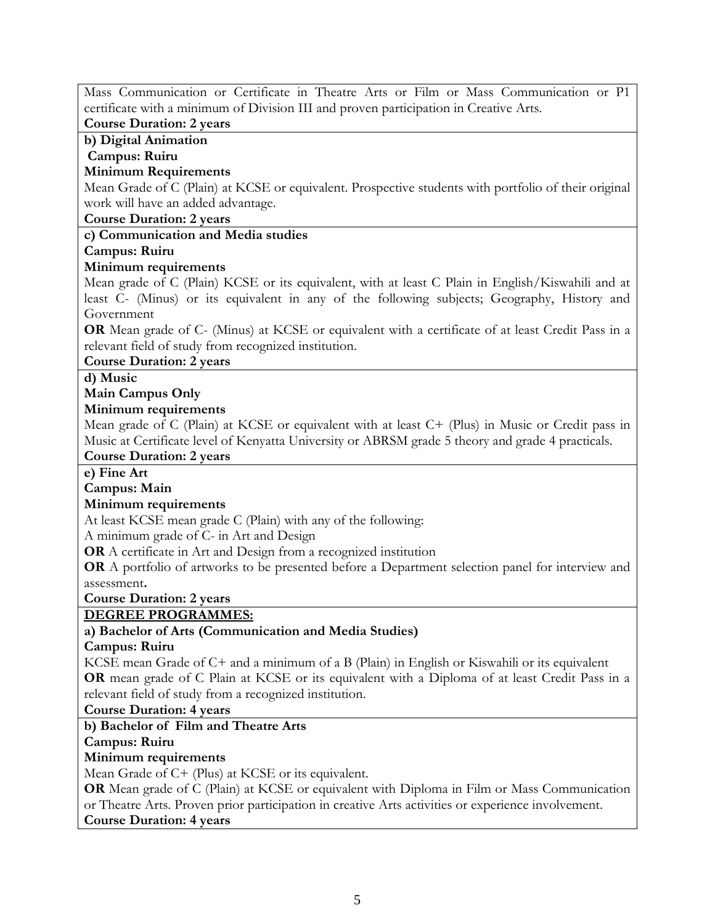Mass Communication or Certificate in Theatre Arts or Film or Mass Communication or P1 certificate with a minimum of Division III and proven participation in Creative Arts.

**Course Duration: 2 years b) Digital Animation**

**Campus: Ruiru**

# **Minimum Requirements**

Mean Grade of C (Plain) at KCSE or equivalent. Prospective students with portfolio of their original work will have an added advantage.

#### **Course Duration: 2 years**

**c) Communication and Media studies**

**Campus: Ruiru**

### **Minimum requirements**

Mean grade of C (Plain) KCSE or its equivalent, with at least C Plain in English/Kiswahili and at least C- (Minus) or its equivalent in any of the following subjects; Geography, History and Government

**OR** Mean grade of C- (Minus) at KCSE or equivalent with a certificate of at least Credit Pass in a relevant field of study from recognized institution.

### **Course Duration: 2 years**

#### **d) Music**

#### **Main Campus Only**

#### **Minimum requirements**

Mean grade of C (Plain) at KCSE or equivalent with at least C+ (Plus) in Music or Credit pass in Music at Certificate level of Kenyatta University or ABRSM grade 5 theory and grade 4 practicals.

#### **Course Duration: 2 years**

### **e) Fine Art**

### **Campus: Main**

### **Minimum requirements**

At least KCSE mean grade C (Plain) with any of the following:

A minimum grade of C- in Art and Design

**OR** A certificate in Art and Design from a recognized institution

**OR** A portfolio of artworks to be presented before a Department selection panel for interview and assessment**.**

**Course Duration: 2 years**

# **DEGREE PROGRAMMES:**

# **a) Bachelor of Arts (Communication and Media Studies)**

### **Campus: Ruiru**

KCSE mean Grade of C+ and a minimum of a B (Plain) in English or Kiswahili or its equivalent **OR** mean grade of C Plain at KCSE or its equivalent with a Diploma of at least Credit Pass in a relevant field of study from a recognized institution.

**Course Duration: 4 years**

# **b) Bachelor of Film and Theatre Arts**

# **Campus: Ruiru**

# **Minimum requirements**

Mean Grade of C+ (Plus) at KCSE or its equivalent.

**OR** Mean grade of C (Plain) at KCSE or equivalent with Diploma in Film or Mass Communication or Theatre Arts. Proven prior participation in creative Arts activities or experience involvement. **Course Duration: 4 years**

### 5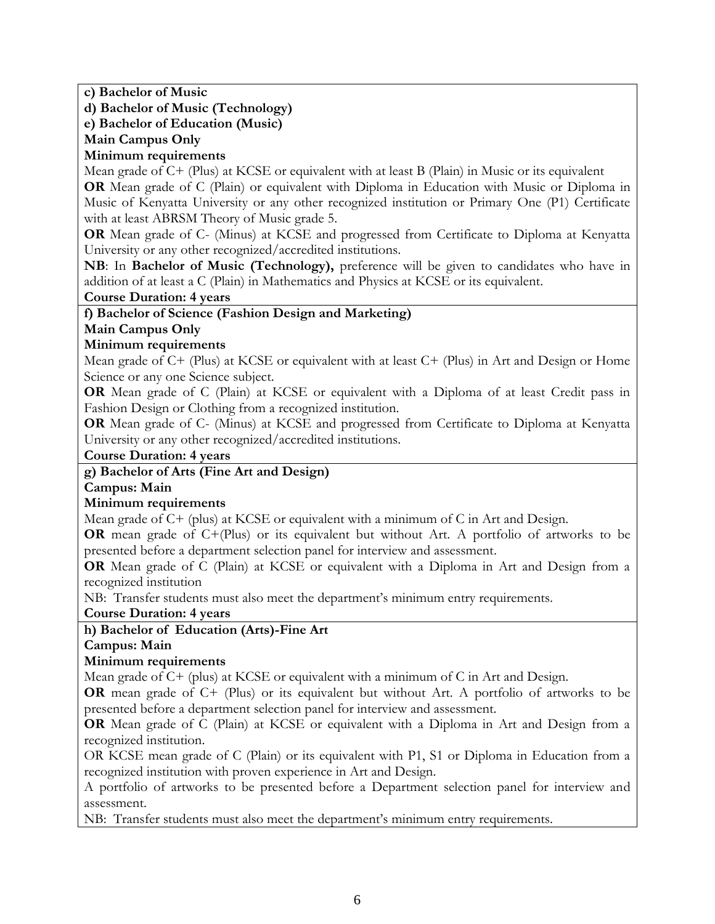**c) Bachelor of Music** 

**d) Bachelor of Music (Technology)** 

**e) Bachelor of Education (Music)**

**Main Campus Only**

# **Minimum requirements**

Mean grade of C+ (Plus) at KCSE or equivalent with at least B (Plain) in Music or its equivalent

**OR** Mean grade of C (Plain) or equivalent with Diploma in Education with Music or Diploma in Music of Kenyatta University or any other recognized institution or Primary One (P1) Certificate with at least ABRSM Theory of Music grade 5.

**OR** Mean grade of C- (Minus) at KCSE and progressed from Certificate to Diploma at Kenyatta University or any other recognized/accredited institutions.

**NB**: In **Bachelor of Music (Technology),** preference will be given to candidates who have in addition of at least a C (Plain) in Mathematics and Physics at KCSE or its equivalent.

**Course Duration: 4 years**

### **f) Bachelor of Science (Fashion Design and Marketing)**

### **Main Campus Only**

### **Minimum requirements**

Mean grade of C+ (Plus) at KCSE or equivalent with at least C+ (Plus) in Art and Design or Home Science or any one Science subject.

**OR** Mean grade of C (Plain) at KCSE or equivalent with a Diploma of at least Credit pass in Fashion Design or Clothing from a recognized institution.

**OR** Mean grade of C- (Minus) at KCSE and progressed from Certificate to Diploma at Kenyatta University or any other recognized/accredited institutions.

### **Course Duration: 4 years**

# **g) Bachelor of Arts (Fine Art and Design)**

### **Campus: Main**

# **Minimum requirements**

Mean grade of C+ (plus) at KCSE or equivalent with a minimum of C in Art and Design.

**OR** mean grade of C+(Plus) or its equivalent but without Art. A portfolio of artworks to be presented before a department selection panel for interview and assessment.

**OR** Mean grade of C (Plain) at KCSE or equivalent with a Diploma in Art and Design from a recognized institution

NB: Transfer students must also meet the department's minimum entry requirements.

**Course Duration: 4 years**

# **h) Bachelor of Education (Arts)-Fine Art**

**Campus: Main**

# **Minimum requirements**

Mean grade of C+ (plus) at KCSE or equivalent with a minimum of C in Art and Design.

**OR** mean grade of C+ (Plus) or its equivalent but without Art. A portfolio of artworks to be presented before a department selection panel for interview and assessment.

**OR** Mean grade of C (Plain) at KCSE or equivalent with a Diploma in Art and Design from a recognized institution.

OR KCSE mean grade of C (Plain) or its equivalent with P1, S1 or Diploma in Education from a recognized institution with proven experience in Art and Design.

A portfolio of artworks to be presented before a Department selection panel for interview and assessment.

NB: Transfer students must also meet the department's minimum entry requirements.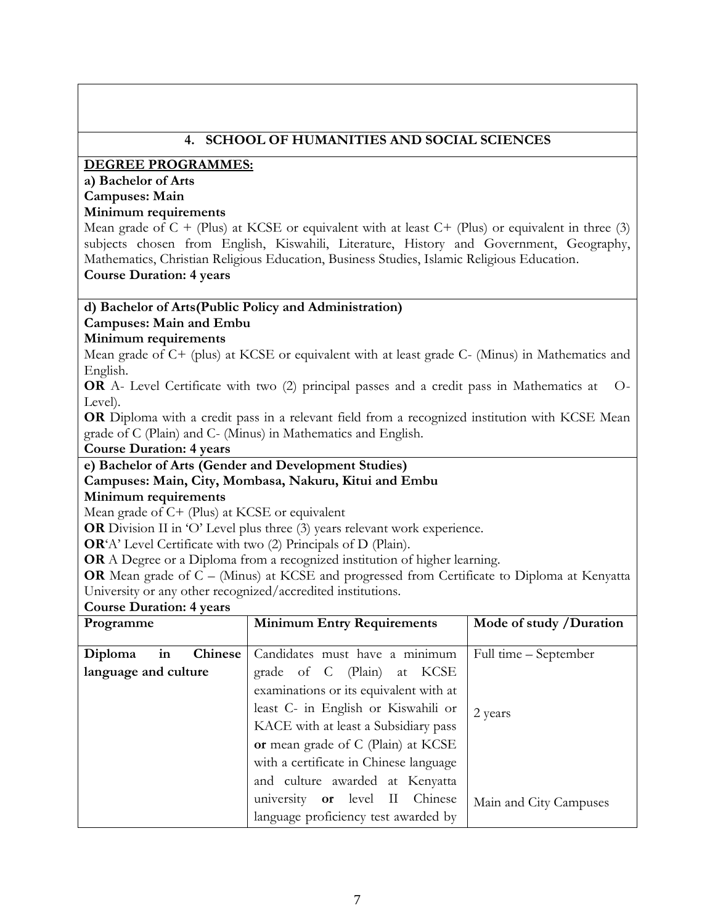| 4. SCHOOL OF HUMANITIES AND SOCIAL SCIENCES                                                                                                 |                                                                                                        |                         |  |  |  |  |
|---------------------------------------------------------------------------------------------------------------------------------------------|--------------------------------------------------------------------------------------------------------|-------------------------|--|--|--|--|
| <b>DEGREE PROGRAMMES:</b>                                                                                                                   |                                                                                                        |                         |  |  |  |  |
| a) Bachelor of Arts                                                                                                                         |                                                                                                        |                         |  |  |  |  |
| <b>Campuses: Main</b>                                                                                                                       |                                                                                                        |                         |  |  |  |  |
| Minimum requirements                                                                                                                        |                                                                                                        |                         |  |  |  |  |
|                                                                                                                                             | Mean grade of $C + (Plus)$ at KCSE or equivalent with at least $C + (Plus)$ or equivalent in three (3) |                         |  |  |  |  |
|                                                                                                                                             | subjects chosen from English, Kiswahili, Literature, History and Government, Geography,                |                         |  |  |  |  |
|                                                                                                                                             | Mathematics, Christian Religious Education, Business Studies, Islamic Religious Education.             |                         |  |  |  |  |
| <b>Course Duration: 4 years</b>                                                                                                             |                                                                                                        |                         |  |  |  |  |
| d) Bachelor of Arts (Public Policy and Administration)                                                                                      |                                                                                                        |                         |  |  |  |  |
| <b>Campuses: Main and Embu</b>                                                                                                              |                                                                                                        |                         |  |  |  |  |
| Minimum requirements                                                                                                                        |                                                                                                        |                         |  |  |  |  |
|                                                                                                                                             | Mean grade of C+ (plus) at KCSE or equivalent with at least grade C- (Minus) in Mathematics and        |                         |  |  |  |  |
| English.                                                                                                                                    |                                                                                                        |                         |  |  |  |  |
|                                                                                                                                             | OR A- Level Certificate with two (2) principal passes and a credit pass in Mathematics at              | $O-$                    |  |  |  |  |
| Level).                                                                                                                                     |                                                                                                        |                         |  |  |  |  |
|                                                                                                                                             | OR Diploma with a credit pass in a relevant field from a recognized institution with KCSE Mean         |                         |  |  |  |  |
|                                                                                                                                             | grade of C (Plain) and C- (Minus) in Mathematics and English.                                          |                         |  |  |  |  |
| <b>Course Duration: 4 years</b>                                                                                                             |                                                                                                        |                         |  |  |  |  |
| e) Bachelor of Arts (Gender and Development Studies)                                                                                        |                                                                                                        |                         |  |  |  |  |
| Minimum requirements                                                                                                                        | Campuses: Main, City, Mombasa, Nakuru, Kitui and Embu                                                  |                         |  |  |  |  |
| Mean grade of C+ (Plus) at KCSE or equivalent                                                                                               |                                                                                                        |                         |  |  |  |  |
|                                                                                                                                             | OR Division II in 'O' Level plus three (3) years relevant work experience.                             |                         |  |  |  |  |
|                                                                                                                                             |                                                                                                        |                         |  |  |  |  |
| OR'A' Level Certificate with two (2) Principals of D (Plain).<br>OR A Degree or a Diploma from a recognized institution of higher learning. |                                                                                                        |                         |  |  |  |  |
|                                                                                                                                             | OR Mean grade of C - (Minus) at KCSE and progressed from Certificate to Diploma at Kenyatta            |                         |  |  |  |  |
| University or any other recognized/accredited institutions.                                                                                 |                                                                                                        |                         |  |  |  |  |
| <b>Course Duration: 4 years</b>                                                                                                             |                                                                                                        |                         |  |  |  |  |
| Programme                                                                                                                                   | <b>Minimum Entry Requirements</b>                                                                      | Mode of study /Duration |  |  |  |  |
| <b>Chinese</b><br>in<br>Diploma                                                                                                             | Candidates must have a minimum                                                                         | Full time – September   |  |  |  |  |
| language and culture                                                                                                                        | grade of C (Plain)<br><b>KCSE</b><br>at                                                                |                         |  |  |  |  |
|                                                                                                                                             | examinations or its equivalent with at                                                                 |                         |  |  |  |  |
|                                                                                                                                             | least C- in English or Kiswahili or                                                                    |                         |  |  |  |  |
|                                                                                                                                             | KACE with at least a Subsidiary pass                                                                   | 2 years                 |  |  |  |  |
|                                                                                                                                             |                                                                                                        |                         |  |  |  |  |
|                                                                                                                                             | or mean grade of C (Plain) at KCSE                                                                     |                         |  |  |  |  |
|                                                                                                                                             | with a certificate in Chinese language                                                                 |                         |  |  |  |  |
|                                                                                                                                             | and culture awarded at Kenyatta                                                                        |                         |  |  |  |  |

university **or** level II Chinese language proficiency test awarded by Main and City Campuses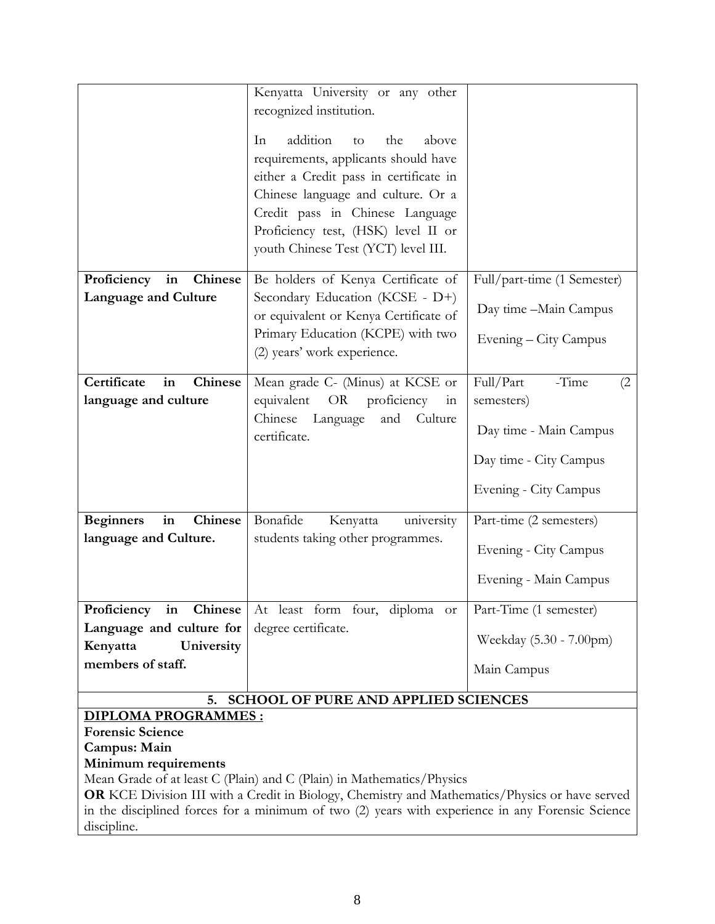|                                                                       | Chinese language and culture. Or a<br>Credit pass in Chinese Language                            |                             |  |  |  |
|-----------------------------------------------------------------------|--------------------------------------------------------------------------------------------------|-----------------------------|--|--|--|
|                                                                       | Proficiency test, (HSK) level II or                                                              |                             |  |  |  |
|                                                                       | youth Chinese Test (YCT) level III.                                                              |                             |  |  |  |
| in<br>Chinese<br>Proficiency                                          | Be holders of Kenya Certificate of                                                               | Full/part-time (1 Semester) |  |  |  |
| <b>Language and Culture</b>                                           | Secondary Education (KCSE - D+)<br>or equivalent or Kenya Certificate of                         | Day time -Main Campus       |  |  |  |
|                                                                       | Primary Education (KCPE) with two<br>(2) years' work experience.                                 | Evening – City Campus       |  |  |  |
| Certificate<br>Chinese<br>in                                          | Mean grade C- (Minus) at KCSE or                                                                 | Full/Part<br>-Time<br>(2)   |  |  |  |
| language and culture                                                  | equivalent OR proficiency<br>in<br>Chinese<br>Language<br>Culture<br>and<br>certificate.         | semesters)                  |  |  |  |
|                                                                       |                                                                                                  | Day time - Main Campus      |  |  |  |
|                                                                       |                                                                                                  | Day time - City Campus      |  |  |  |
|                                                                       |                                                                                                  | Evening - City Campus       |  |  |  |
| Chinese<br><b>Beginners</b><br>in                                     | Bonafide<br>Kenyatta<br>university                                                               | Part-time (2 semesters)     |  |  |  |
| language and Culture.                                                 | students taking other programmes.                                                                | Evening - City Campus       |  |  |  |
|                                                                       |                                                                                                  | Evening - Main Campus       |  |  |  |
| Proficiency in Chinese                                                | At least form four, diploma or                                                                   | Part-Time (1 semester)      |  |  |  |
| Language and culture for<br>Kenyatta<br>University                    | degree certificate.                                                                              | Weekday (5.30 - 7.00pm)     |  |  |  |
| members of staff.                                                     |                                                                                                  | Main Campus                 |  |  |  |
| 5. SCHOOL OF PURE AND APPLIED SCIENCES                                |                                                                                                  |                             |  |  |  |
| <b>DIPLOMA PROGRAMMES:</b>                                            |                                                                                                  |                             |  |  |  |
| <b>Forensic Science</b>                                               |                                                                                                  |                             |  |  |  |
| Campus: Main<br>Minimum requirements                                  |                                                                                                  |                             |  |  |  |
| Mean Grade of at least C (Plain) and C (Plain) in Mathematics/Physics |                                                                                                  |                             |  |  |  |
|                                                                       | OR KCE Division III with a Credit in Biology, Chemistry and Mathematics/Physics or have served   |                             |  |  |  |
|                                                                       |                                                                                                  |                             |  |  |  |
|                                                                       | in the disciplined forces for a minimum of two (2) years with experience in any Forensic Science |                             |  |  |  |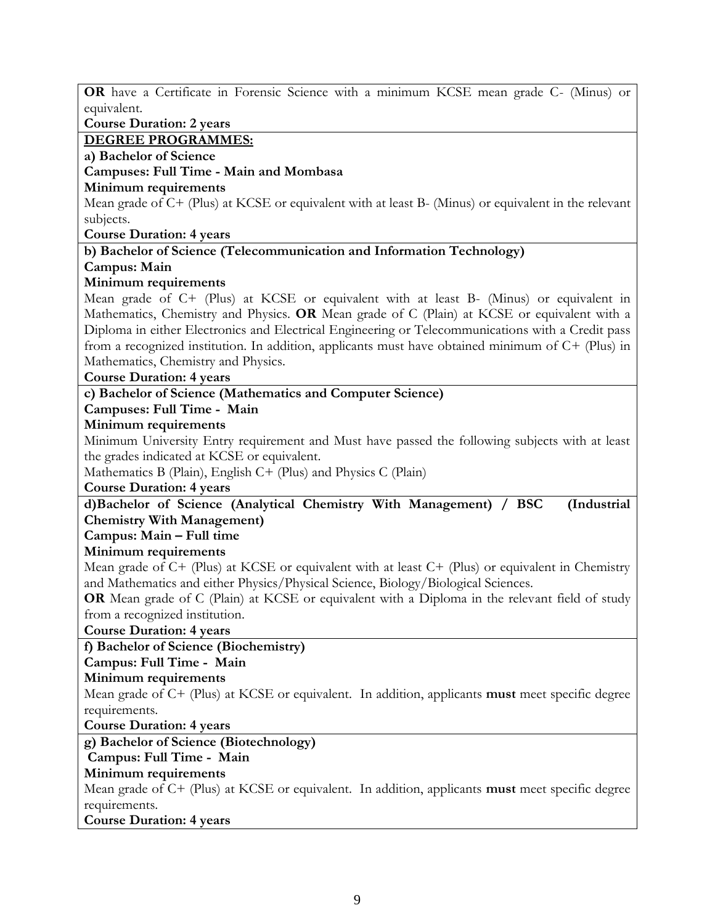| OR have a Certificate in Forensic Science with a minimum KCSE mean grade C- (Minus) or                 |
|--------------------------------------------------------------------------------------------------------|
| equivalent.                                                                                            |
| <b>Course Duration: 2 years</b>                                                                        |
| <b>DEGREE PROGRAMMES:</b>                                                                              |
| a) Bachelor of Science                                                                                 |
| Campuses: Full Time - Main and Mombasa                                                                 |
| Minimum requirements                                                                                   |
| Mean grade of C+ (Plus) at KCSE or equivalent with at least B- (Minus) or equivalent in the relevant   |
| subjects.                                                                                              |
| <b>Course Duration: 4 years</b>                                                                        |
| b) Bachelor of Science (Telecommunication and Information Technology)                                  |
| Campus: Main                                                                                           |
| Minimum requirements                                                                                   |
| Mean grade of C+ (Plus) at KCSE or equivalent with at least B- (Minus) or equivalent in                |
| Mathematics, Chemistry and Physics. OR Mean grade of C (Plain) at KCSE or equivalent with a            |
| Diploma in either Electronics and Electrical Engineering or Telecommunications with a Credit pass      |
| from a recognized institution. In addition, applicants must have obtained minimum of $C+$ (Plus) in    |
| Mathematics, Chemistry and Physics.                                                                    |
| <b>Course Duration: 4 years</b>                                                                        |
| c) Bachelor of Science (Mathematics and Computer Science)                                              |
| Campuses: Full Time - Main                                                                             |
| Minimum requirements                                                                                   |
| Minimum University Entry requirement and Must have passed the following subjects with at least         |
| the grades indicated at KCSE or equivalent.                                                            |
| Mathematics B (Plain), English C+ (Plus) and Physics C (Plain)                                         |
| <b>Course Duration: 4 years</b>                                                                        |
| d)Bachelor of Science (Analytical Chemistry With Management) / BSC<br>(Industrial                      |
| <b>Chemistry With Management)</b>                                                                      |
| Campus: Main - Full time                                                                               |
| Minimum requirements                                                                                   |
| Mean grade of $C$ + (Plus) at KCSE or equivalent with at least $C$ + (Plus) or equivalent in Chemistry |
| and Mathematics and either Physics/Physical Science, Biology/Biological Sciences.                      |
| OR Mean grade of C (Plain) at KCSE or equivalent with a Diploma in the relevant field of study         |
| from a recognized institution.                                                                         |
| <b>Course Duration: 4 years</b>                                                                        |
| f) Bachelor of Science (Biochemistry)                                                                  |
| Campus: Full Time - Main                                                                               |
| Minimum requirements                                                                                   |
| Mean grade of C+ (Plus) at KCSE or equivalent. In addition, applicants must meet specific degree       |
| requirements.                                                                                          |
| <b>Course Duration: 4 years</b>                                                                        |
| g) Bachelor of Science (Biotechnology)                                                                 |
| Campus: Full Time - Main                                                                               |
| Minimum requirements                                                                                   |
| Mean grade of C+ (Plus) at KCSE or equivalent. In addition, applicants must meet specific degree       |
| requirements.                                                                                          |
| <b>Course Duration: 4 years</b>                                                                        |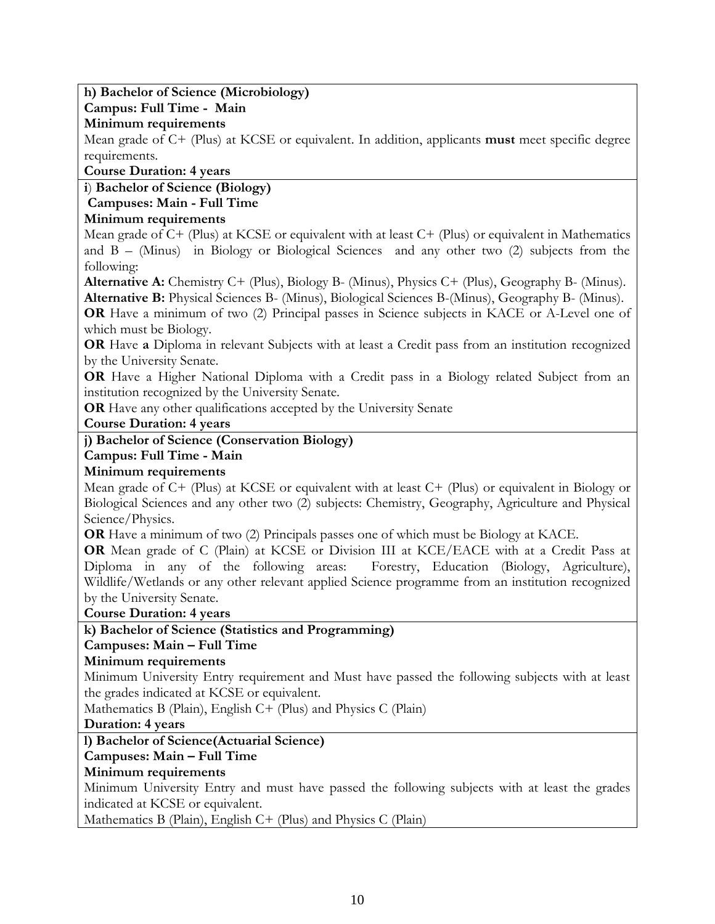# **h) Bachelor of Science (Microbiology)**

### **Campus: Full Time - Main**

### **Minimum requirements**

Mean grade of C+ (Plus) at KCSE or equivalent. In addition, applicants **must** meet specific degree requirements.

### **Course Duration: 4 years**

# **i**) **Bachelor of Science (Biology)**

### **Campuses: Main - Full Time**

# **Minimum requirements**

Mean grade of C+ (Plus) at KCSE or equivalent with at least C+ (Plus) or equivalent in Mathematics and B – (Minus) in Biology or Biological Sciences and any other two (2) subjects from the following:

**Alternative A:** Chemistry C+ (Plus), Biology B- (Minus), Physics C+ (Plus), Geography B- (Minus). **Alternative B:** Physical Sciences B- (Minus), Biological Sciences B-(Minus), Geography B- (Minus).

**OR** Have a minimum of two (2) Principal passes in Science subjects in KACE or A-Level one of which must be Biology.

**OR** Have **a** Diploma in relevant Subjects with at least a Credit pass from an institution recognized by the University Senate.

**OR** Have a Higher National Diploma with a Credit pass in a Biology related Subject from an institution recognized by the University Senate.

**OR** Have any other qualifications accepted by the University Senate

**Course Duration: 4 years**

# **j) Bachelor of Science (Conservation Biology)**

### **Campus: Full Time - Main**

# **Minimum requirements**

Mean grade of C+ (Plus) at KCSE or equivalent with at least C+ (Plus) or equivalent in Biology or Biological Sciences and any other two (2) subjects: Chemistry, Geography, Agriculture and Physical Science/Physics.

**OR** Have a minimum of two (2) Principals passes one of which must be Biology at KACE.

**OR** Mean grade of C (Plain) at KCSE or Division III at KCE/EACE with at a Credit Pass at Diploma in any of the following areas: Forestry, Education (Biology, Agriculture), Wildlife/Wetlands or any other relevant applied Science programme from an institution recognized by the University Senate.

**Course Duration: 4 years**

# **k) Bachelor of Science (Statistics and Programming)**

# **Campuses: Main – Full Time**

### **Minimum requirements**

Minimum University Entry requirement and Must have passed the following subjects with at least the grades indicated at KCSE or equivalent.

Mathematics B (Plain), English  $C+$  (Plus) and Physics C (Plain)

# **Duration: 4 years**

# **l) Bachelor of Science(Actuarial Science)**

# **Campuses: Main – Full Time**

# **Minimum requirements**

Minimum University Entry and must have passed the following subjects with at least the grades indicated at KCSE or equivalent.

Mathematics B (Plain), English C+ (Plus) and Physics C (Plain)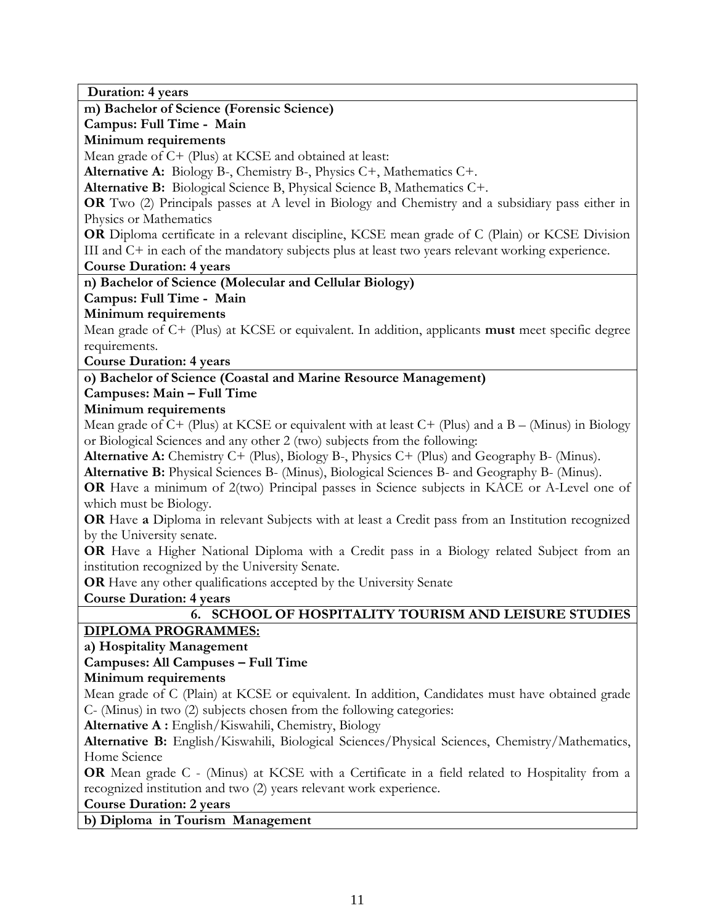**Duration: 4 years**

**m) Bachelor of Science (Forensic Science)**

**Campus: Full Time - Main** 

**Minimum requirements**

Mean grade of C+ (Plus) at KCSE and obtained at least:

**Alternative A:** Biology B-, Chemistry B-, Physics C+, Mathematics C+.

**Alternative B:** Biological Science B, Physical Science B, Mathematics C+.

**OR** Two (2) Principals passes at A level in Biology and Chemistry and a subsidiary pass either in Physics or Mathematics

**OR** Diploma certificate in a relevant discipline, KCSE mean grade of C (Plain) or KCSE Division III and C+ in each of the mandatory subjects plus at least two years relevant working experience.

**Course Duration: 4 years**

**n) Bachelor of Science (Molecular and Cellular Biology)**

**Campus: Full Time - Main** 

# **Minimum requirements**

Mean grade of C+ (Plus) at KCSE or equivalent. In addition, applicants **must** meet specific degree requirements.

**Course Duration: 4 years**

# **o) Bachelor of Science (Coastal and Marine Resource Management)**

# **Campuses: Main – Full Time**

# **Minimum requirements**

Mean grade of  $C+$  (Plus) at KCSE or equivalent with at least  $C+$  (Plus) and a B – (Minus) in Biology or Biological Sciences and any other 2 (two) subjects from the following:

**Alternative A:** Chemistry C+ (Plus), Biology B-, Physics C+ (Plus) and Geography B- (Minus).

**Alternative B:** Physical Sciences B- (Minus), Biological Sciences B- and Geography B- (Minus).

**OR** Have a minimum of 2(two) Principal passes in Science subjects in KACE or A-Level one of which must be Biology.

**OR** Have **a** Diploma in relevant Subjects with at least a Credit pass from an Institution recognized by the University senate.

**OR** Have a Higher National Diploma with a Credit pass in a Biology related Subject from an institution recognized by the University Senate.

**OR** Have any other qualifications accepted by the University Senate

**Course Duration: 4 years**

# **6. SCHOOL OF HOSPITALITY TOURISM AND LEISURE STUDIES**

# **DIPLOMA PROGRAMMES:**

# **a) Hospitality Management**

# **Campuses: All Campuses – Full Time**

# **Minimum requirements**

Mean grade of C (Plain) at KCSE or equivalent. In addition, Candidates must have obtained grade C- (Minus) in two (2) subjects chosen from the following categories:

**Alternative A :** English/Kiswahili, Chemistry, Biology

**Alternative B:** English/Kiswahili, Biological Sciences/Physical Sciences, Chemistry/Mathematics, Home Science

**OR** Mean grade C - (Minus) at KCSE with a Certificate in a field related to Hospitality from a recognized institution and two (2) years relevant work experience.

# **Course Duration: 2 years**

**b) Diploma in Tourism Management**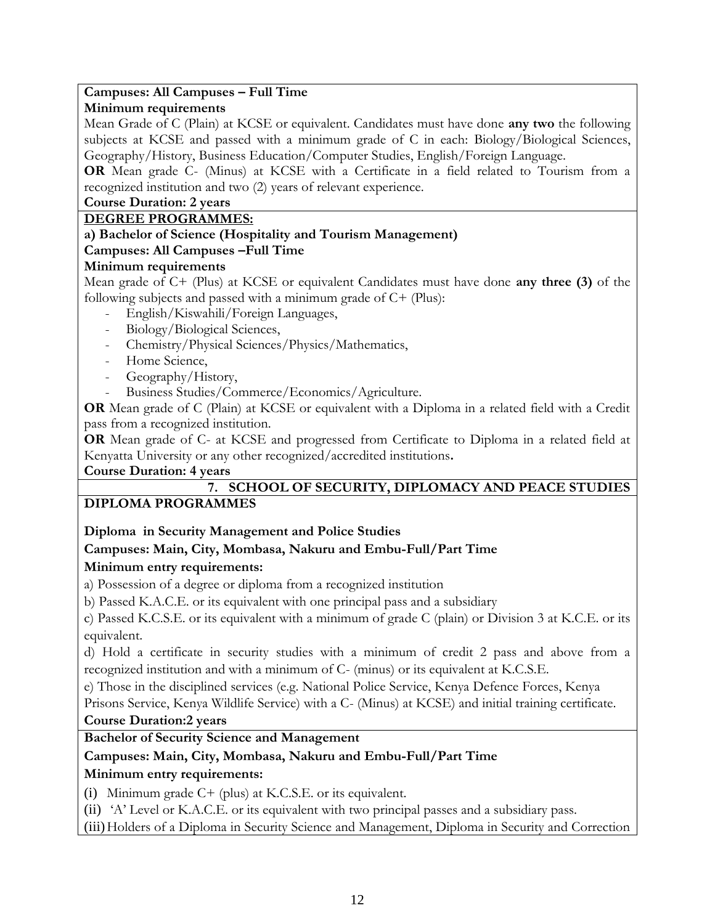### **Campuses: All Campuses – Full Time**

### **Minimum requirements**

Mean Grade of C (Plain) at KCSE or equivalent. Candidates must have done **any two** the following subjects at KCSE and passed with a minimum grade of C in each: Biology/Biological Sciences, Geography/History, Business Education/Computer Studies, English/Foreign Language.

**OR** Mean grade C- (Minus) at KCSE with a Certificate in a field related to Tourism from a recognized institution and two (2) years of relevant experience.

### **Course Duration: 2 years**

### **DEGREE PROGRAMMES:**

### **a) Bachelor of Science (Hospitality and Tourism Management)**

### **Campuses: All Campuses –Full Time**

### **Minimum requirements**

Mean grade of C+ (Plus) at KCSE or equivalent Candidates must have done **any three (3)** of the following subjects and passed with a minimum grade of C+ (Plus):

- English/Kiswahili/Foreign Languages,
- Biology/Biological Sciences,
- Chemistry/Physical Sciences/Physics/Mathematics,
- Home Science,
- Geography/History,
- Business Studies/Commerce/Economics/Agriculture.

**OR** Mean grade of C (Plain) at KCSE or equivalent with a Diploma in a related field with a Credit pass from a recognized institution.

**OR** Mean grade of C- at KCSE and progressed from Certificate to Diploma in a related field at Kenyatta University or any other recognized/accredited institutions**.**

**Course Duration: 4 years**

# **7. SCHOOL OF SECURITY, DIPLOMACY AND PEACE STUDIES**

# **DIPLOMA PROGRAMMES**

**Diploma in Security Management and Police Studies**

# **Campuses: Main, City, Mombasa, Nakuru and Embu-Full/Part Time**

# **Minimum entry requirements:**

a) Possession of a degree or diploma from a recognized institution

b) Passed K.A.C.E. or its equivalent with one principal pass and a subsidiary

c) Passed K.C.S.E. or its equivalent with a minimum of grade C (plain) or Division 3 at K.C.E. or its equivalent.

d) Hold a certificate in security studies with a minimum of credit 2 pass and above from a recognized institution and with a minimum of C- (minus) or its equivalent at K.C.S.E.

e) Those in the disciplined services (e.g. National Police Service, Kenya Defence Forces, Kenya

Prisons Service, Kenya Wildlife Service) with a C- (Minus) at KCSE) and initial training certificate.

### **Course Duration:2 years**

# **Bachelor of Security Science and Management**

# **Campuses: Main, City, Mombasa, Nakuru and Embu-Full/Part Time**

# **Minimum entry requirements:**

(i) Minimum grade C+ (plus) at K.C.S.E. or its equivalent.

(ii) 'A' Level or K.A.C.E. or its equivalent with two principal passes and a subsidiary pass.

(iii)Holders of a Diploma in Security Science and Management, Diploma in Security and Correction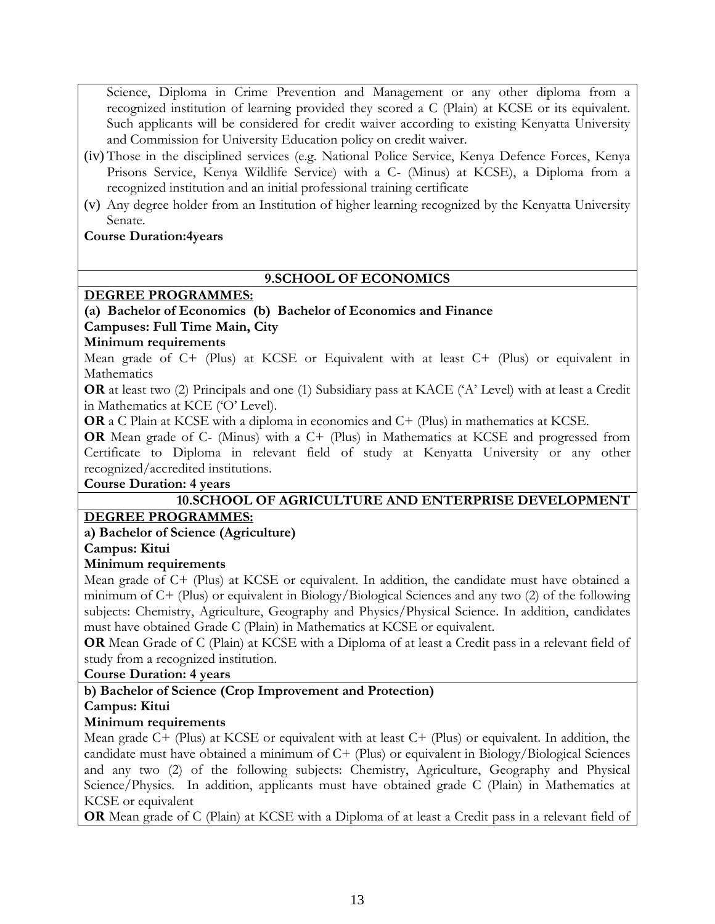Science, Diploma in Crime Prevention and Management or any other diploma from a recognized institution of learning provided they scored a C (Plain) at KCSE or its equivalent. Such applicants will be considered for credit waiver according to existing Kenyatta University and Commission for University Education policy on credit waiver.

- (iv) Those in the disciplined services (e.g. National Police Service, Kenya Defence Forces, Kenya Prisons Service, Kenya Wildlife Service) with a C- (Minus) at KCSE), a Diploma from a recognized institution and an initial professional training certificate
- (v) Any degree holder from an Institution of higher learning recognized by the Kenyatta University Senate.

# **Course Duration:4years**

# **9.SCHOOL OF ECONOMICS**

# **DEGREE PROGRAMMES:**

# **(a) Bachelor of Economics (b) Bachelor of Economics and Finance**

# **Campuses: Full Time Main, City**

# **Minimum requirements**

Mean grade of C+ (Plus) at KCSE or Equivalent with at least C+ (Plus) or equivalent in Mathematics

**OR** at least two (2) Principals and one (1) Subsidiary pass at KACE ('A' Level) with at least a Credit in Mathematics at KCE ('O' Level).

**OR** a C Plain at KCSE with a diploma in economics and C+ (Plus) in mathematics at KCSE.

**OR** Mean grade of C- (Minus) with a C+ (Plus) in Mathematics at KCSE and progressed from Certificate to Diploma in relevant field of study at Kenyatta University or any other recognized/accredited institutions.

# **Course Duration: 4 years**

# **10.SCHOOL OF AGRICULTURE AND ENTERPRISE DEVELOPMENT**

# **DEGREE PROGRAMMES:**

# **a) Bachelor of Science (Agriculture)**

# **Campus: Kitui**

# **Minimum requirements**

Mean grade of C+ (Plus) at KCSE or equivalent. In addition, the candidate must have obtained a minimum of C+ (Plus) or equivalent in Biology/Biological Sciences and any two (2) of the following subjects: Chemistry, Agriculture, Geography and Physics/Physical Science. In addition, candidates must have obtained Grade C (Plain) in Mathematics at KCSE or equivalent.

**OR** Mean Grade of C (Plain) at KCSE with a Diploma of at least a Credit pass in a relevant field of study from a recognized institution.

# **Course Duration: 4 years**

# **b) Bachelor of Science (Crop Improvement and Protection)**

# **Campus: Kitui**

# **Minimum requirements**

Mean grade C+ (Plus) at KCSE or equivalent with at least C+ (Plus) or equivalent. In addition, the candidate must have obtained a minimum of C+ (Plus) or equivalent in Biology/Biological Sciences and any two (2) of the following subjects: Chemistry, Agriculture, Geography and Physical Science/Physics. In addition, applicants must have obtained grade C (Plain) in Mathematics at KCSE or equivalent

**OR** Mean grade of C (Plain) at KCSE with a Diploma of at least a Credit pass in a relevant field of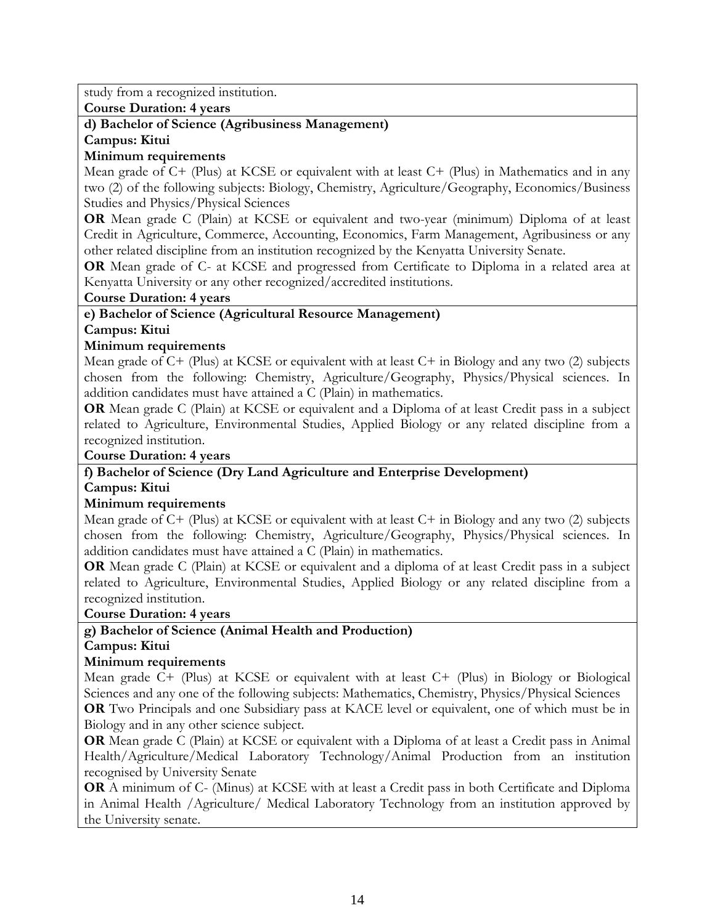study from a recognized institution.

**Course Duration: 4 years**

# **d) Bachelor of Science (Agribusiness Management)**

**Campus: Kitui**

### **Minimum requirements**

Mean grade of C+ (Plus) at KCSE or equivalent with at least C+ (Plus) in Mathematics and in any two (2) of the following subjects: Biology, Chemistry, Agriculture/Geography, Economics/Business Studies and Physics/Physical Sciences

**OR** Mean grade C (Plain) at KCSE or equivalent and two-year (minimum) Diploma of at least Credit in Agriculture, Commerce, Accounting, Economics, Farm Management, Agribusiness or any other related discipline from an institution recognized by the Kenyatta University Senate.

**OR** Mean grade of C- at KCSE and progressed from Certificate to Diploma in a related area at Kenyatta University or any other recognized/accredited institutions.

**Course Duration: 4 years**

### **e) Bachelor of Science (Agricultural Resource Management)**

### **Campus: Kitui**

### **Minimum requirements**

Mean grade of C+ (Plus) at KCSE or equivalent with at least C+ in Biology and any two (2) subjects chosen from the following: Chemistry, Agriculture/Geography, Physics/Physical sciences. In addition candidates must have attained a C (Plain) in mathematics.

**OR** Mean grade C (Plain) at KCSE or equivalent and a Diploma of at least Credit pass in a subject related to Agriculture, Environmental Studies, Applied Biology or any related discipline from a recognized institution.

### **Course Duration: 4 years**

### **f) Bachelor of Science (Dry Land Agriculture and Enterprise Development) Campus: Kitui**

### **Minimum requirements**

Mean grade of C+ (Plus) at KCSE or equivalent with at least C+ in Biology and any two (2) subjects chosen from the following: Chemistry, Agriculture/Geography, Physics/Physical sciences. In addition candidates must have attained a C (Plain) in mathematics.

**OR** Mean grade C (Plain) at KCSE or equivalent and a diploma of at least Credit pass in a subject related to Agriculture, Environmental Studies, Applied Biology or any related discipline from a recognized institution.

**Course Duration: 4 years**

# **g) Bachelor of Science (Animal Health and Production)**

**Campus: Kitui**

# **Minimum requirements**

Mean grade C+ (Plus) at KCSE or equivalent with at least C+ (Plus) in Biology or Biological Sciences and any one of the following subjects: Mathematics, Chemistry, Physics/Physical Sciences **OR** Two Principals and one Subsidiary pass at KACE level or equivalent, one of which must be in

Biology and in any other science subject.

**OR** Mean grade C (Plain) at KCSE or equivalent with a Diploma of at least a Credit pass in Animal Health/Agriculture/Medical Laboratory Technology/Animal Production from an institution recognised by University Senate

**OR** A minimum of C- (Minus) at KCSE with at least a Credit pass in both Certificate and Diploma in Animal Health /Agriculture/ Medical Laboratory Technology from an institution approved by the University senate.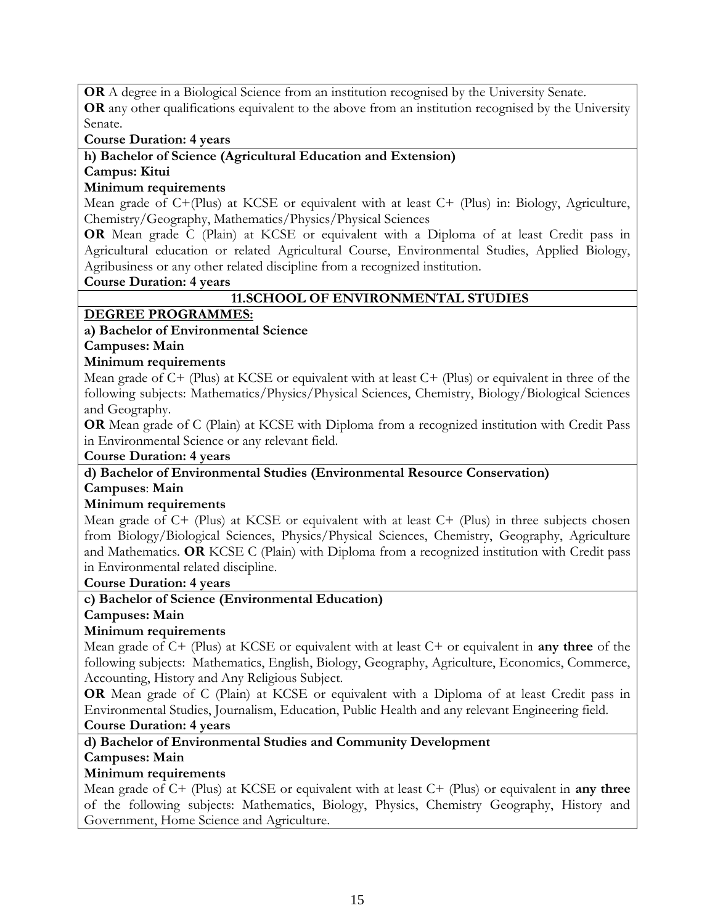**OR** A degree in a Biological Science from an institution recognised by the University Senate.

**OR** any other qualifications equivalent to the above from an institution recognised by the University Senate.

**Course Duration: 4 years**

**h) Bachelor of Science (Agricultural Education and Extension)** 

### **Campus: Kitui**

### **Minimum requirements**

Mean grade of C+(Plus) at KCSE or equivalent with at least C+ (Plus) in: Biology, Agriculture, Chemistry/Geography, Mathematics/Physics/Physical Sciences

**OR** Mean grade C (Plain) at KCSE or equivalent with a Diploma of at least Credit pass in Agricultural education or related Agricultural Course, Environmental Studies, Applied Biology, Agribusiness or any other related discipline from a recognized institution.

**Course Duration: 4 years**

### **11.SCHOOL OF ENVIRONMENTAL STUDIES**

### **DEGREE PROGRAMMES:**

# **a) Bachelor of Environmental Science**

**Campuses: Main**

### **Minimum requirements**

Mean grade of C+ (Plus) at KCSE or equivalent with at least C+ (Plus) or equivalent in three of the following subjects: Mathematics/Physics/Physical Sciences, Chemistry, Biology/Biological Sciences and Geography.

**OR** Mean grade of C (Plain) at KCSE with Diploma from a recognized institution with Credit Pass in Environmental Science or any relevant field.

**Course Duration: 4 years**

#### **d) Bachelor of Environmental Studies (Environmental Resource Conservation) Campuses**: **Main**

### **Minimum requirements**

Mean grade of C+ (Plus) at KCSE or equivalent with at least C+ (Plus) in three subjects chosen from Biology/Biological Sciences, Physics/Physical Sciences, Chemistry, Geography, Agriculture and Mathematics. **OR** KCSE C (Plain) with Diploma from a recognized institution with Credit pass in Environmental related discipline.

### **Course Duration: 4 years**

**c) Bachelor of Science (Environmental Education)** 

**Campuses: Main**

### **Minimum requirements**

Mean grade of C+ (Plus) at KCSE or equivalent with at least C+ or equivalent in **any three** of the following subjects: Mathematics, English, Biology, Geography, Agriculture, Economics, Commerce, Accounting, History and Any Religious Subject.

**OR** Mean grade of C (Plain) at KCSE or equivalent with a Diploma of at least Credit pass in Environmental Studies, Journalism, Education, Public Health and any relevant Engineering field. **Course Duration: 4 years**

# **d) Bachelor of Environmental Studies and Community Development**

# **Campuses: Main**

# **Minimum requirements**

Mean grade of C+ (Plus) at KCSE or equivalent with at least C+ (Plus) or equivalent in **any three** of the following subjects: Mathematics, Biology, Physics, Chemistry Geography, History and Government, Home Science and Agriculture.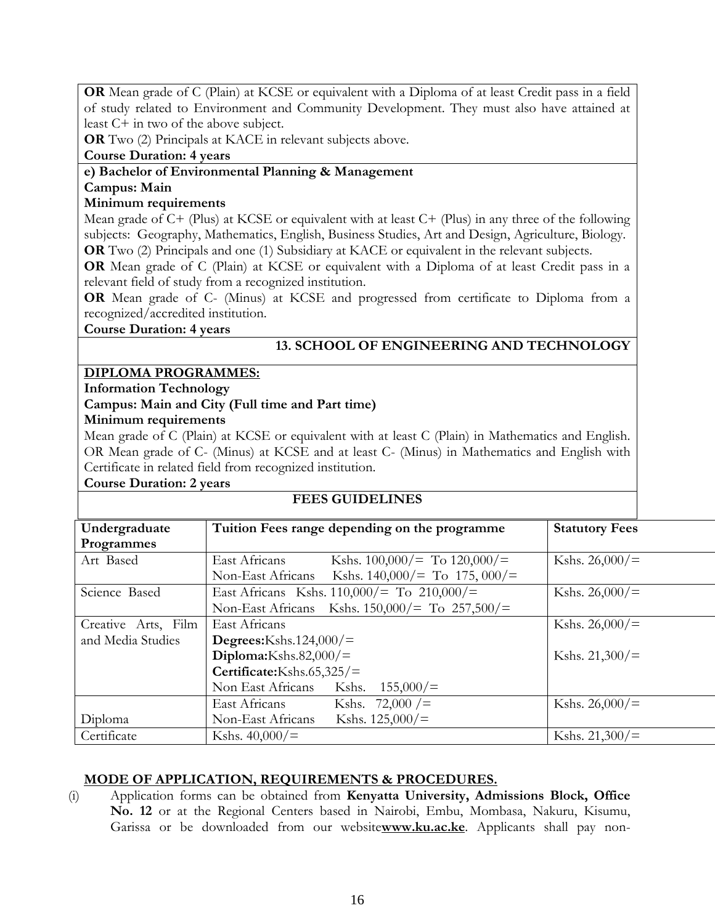**OR** Mean grade of C (Plain) at KCSE or equivalent with a Diploma of at least Credit pass in a field of study related to Environment and Community Development. They must also have attained at least C+ in two of the above subject.

**OR** Two (2) Principals at KACE in relevant subjects above.

**Course Duration: 4 years**

### **e) Bachelor of Environmental Planning & Management**

# **Campus: Main**

### **Minimum requirements**

Mean grade of C+ (Plus) at KCSE or equivalent with at least C+ (Plus) in any three of the following subjects: Geography, Mathematics, English, Business Studies, Art and Design, Agriculture, Biology. **OR** Two (2) Principals and one (1) Subsidiary at KACE or equivalent in the relevant subjects.

**OR** Mean grade of C (Plain) at KCSE or equivalent with a Diploma of at least Credit pass in a relevant field of study from a recognized institution.

**OR** Mean grade of C- (Minus) at KCSE and progressed from certificate to Diploma from a recognized/accredited institution.

**Course Duration: 4 years**

# **13. SCHOOL OF ENGINEERING AND TECHNOLOGY**

### **DIPLOMA PROGRAMMES:**

**Information Technology**

### **Campus: Main and City (Full time and Part time)**

### **Minimum requirements**

Mean grade of C (Plain) at KCSE or equivalent with at least C (Plain) in Mathematics and English. OR Mean grade of C- (Minus) at KCSE and at least C- (Minus) in Mathematics and English with Certificate in related field from recognized institution.

**Course Duration: 2 years**

# **FEES GUIDELINES**

| Undergraduate       | Tuition Fees range depending on the programme            | <b>Statutory Fees</b> |
|---------------------|----------------------------------------------------------|-----------------------|
| Programmes          |                                                          |                       |
| Art Based           | East Africans<br>Kshs. $100,000/$ = To $120,000/$ =      | Kshs. $26,000/$ =     |
|                     | Kshs. $140,000/$ = To 175, $000/$ =<br>Non-East Africans |                       |
| Science Based       | East Africans Kshs. $110,000/=$ To $210,000/=$           | Kshs. $26,000/$ =     |
|                     | Non-East Africans Kshs. $150,000/=$ To $257,500/=$       |                       |
| Creative Arts, Film | East Africans                                            | Kshs. $26,000/$ =     |
| and Media Studies   | Degrees: $Kshs.124,000/$ =                               |                       |
|                     | Diploma:Kshs.82,000/ $=$                                 | Kshs. $21,300/$       |
|                     | Certificate: Kshs. $65,325/$ =                           |                       |
|                     | 155,000/<br>Non East Africans<br>Kshs.                   |                       |
|                     | East Africans Kshs. 72,000 $/$ =                         | Kshs. $26,000/$ =     |
| Diploma             | Kshs. $125,000/$<br>Non-East Africans                    |                       |
| Certificate         | Kshs. $40,000/$ =                                        | Kshs. $21,300/$       |

# **MODE OF APPLICATION, REQUIREMENTS & PROCEDURES.**

(i) Application forms can be obtained from **Kenyatta University, Admissions Block, Office No. 12** or at the Regional Centers based in Nairobi, Embu, Mombasa, Nakuru, Kisumu, Garissa or be downloaded from our website**[www.ku.ac.ke](http://www.ku.ac.ke/)**. Applicants shall pay non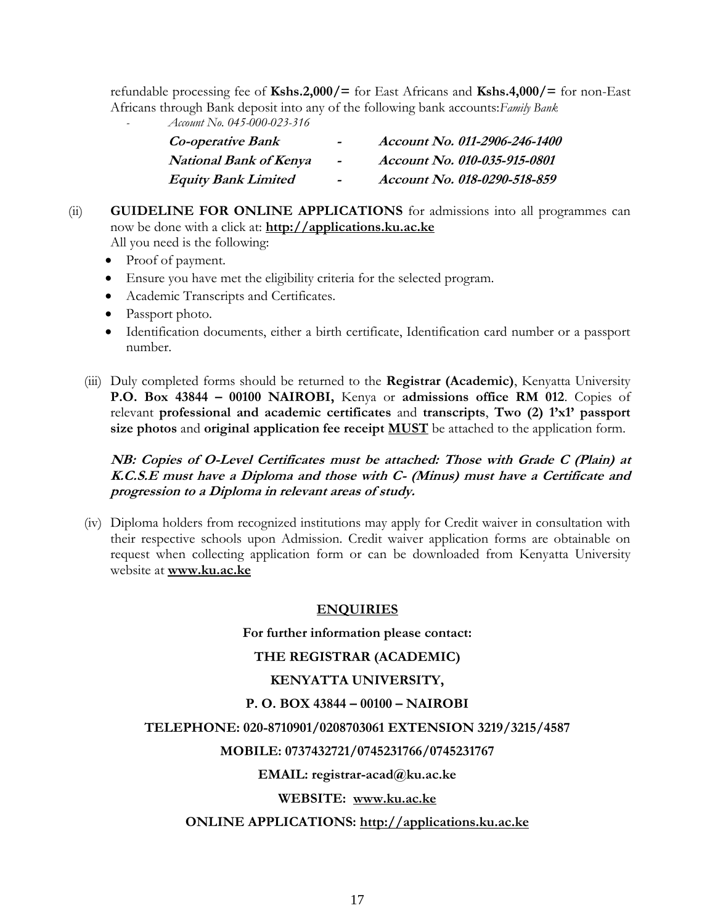refundable processing fee of **Kshs.2,000/=** for East Africans and **Kshs.4,000/=** for non-East Africans through Bank deposit into any of the following bank accounts:*Family Bank*

*- Account No. 045-000-023-316*

| <b>Co-operative Bank</b>      | $\overline{\phantom{0}}$ | Account No. 011-2906-246-1400 |
|-------------------------------|--------------------------|-------------------------------|
| <b>National Bank of Kenya</b> | $\sim$                   | Account No. 010-035-915-0801  |
| <b>Equity Bank Limited</b>    | $\tilde{\phantom{a}}$    | Account No. 018-0290-518-859  |

# (ii) **GUIDELINE FOR ONLINE APPLICATIONS** for admissions into all programmes can now be done with a click at: **[http://applications.ku.ac.ke](http://applications.ku.ac.ke/)**

All you need is the following:

- Proof of payment.
- Ensure you have met the eligibility criteria for the selected program.
- Academic Transcripts and Certificates.
- Passport photo.
- Identification documents, either a birth certificate, Identification card number or a passport number.
- (iii) Duly completed forms should be returned to the **Registrar (Academic)**, Kenyatta University **P.O. Box 43844 – 00100 NAIROBI,** Kenya or **admissions office RM 012**. Copies of relevant **professional and academic certificates** and **transcripts**, **Two (2) 1'x1' passport size photos** and **original application fee receipt MUST** be attached to the application form.

**NB: Copies of O-Level Certificates must be attached: Those with Grade C (Plain) at K.C.S.E must have a Diploma and those with C- (Minus) must have a Certificate and progression to a Diploma in relevant areas of study.**

(iv) Diploma holders from recognized institutions may apply for Credit waiver in consultation with their respective schools upon Admission. Credit waiver application forms are obtainable on request when collecting application form or can be downloaded from Kenyatta University website at **[www.ku.ac.ke](http://www.ku.ac.ke/)**

# **ENQUIRIES**

**For further information please contact:**

### **THE REGISTRAR (ACADEMIC)**

### **KENYATTA UNIVERSITY,**

### **P. O. BOX 43844 – 00100 – NAIROBI**

### **TELEPHONE: 020-8710901/0208703061 EXTENSION 3219/3215/4587**

### **MOBILE: 0737432721/0745231766/0745231767**

### **EMAIL: [registrar-acad@ku.ac.ke](mailto:regacad@ku.ac.ke)**

**WEBSITE: [www.ku.ac.ke](http://www.ku.ac.ke/)**

#### **ONLINE APPLICATIONS: [http://applications.ku.ac.ke](http://applications.ku.ac.ke/)**